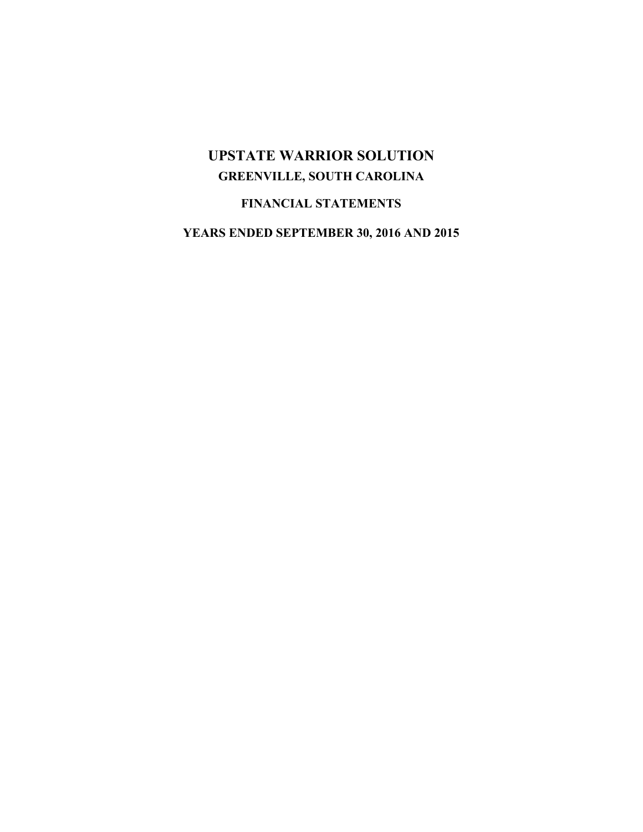# **FINANCIAL STATEMENTS**

**YEARS ENDED SEPTEMBER 30, 2016 AND 2015**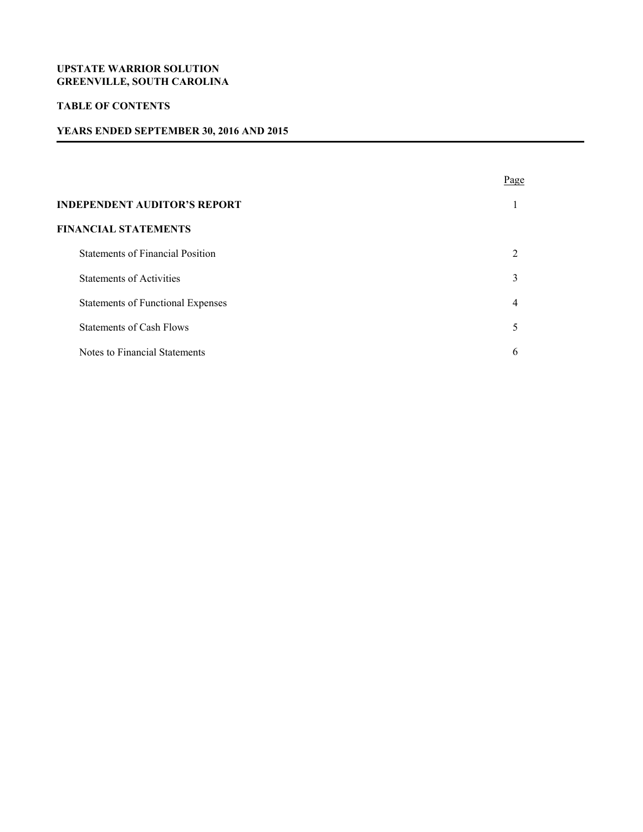# **TABLE OF CONTENTS**

### **YEARS ENDED SEPTEMBER 30, 2016 AND 2015**

|                                          | Page |
|------------------------------------------|------|
| <b>INDEPENDENT AUDITOR'S REPORT</b>      |      |
| <b>FINANCIAL STATEMENTS</b>              |      |
| <b>Statements of Financial Position</b>  | 2    |
| <b>Statements of Activities</b>          | 3    |
| <b>Statements of Functional Expenses</b> | 4    |
| <b>Statements of Cash Flows</b>          | 5    |
| Notes to Financial Statements            | h    |

֖֚֚֚֬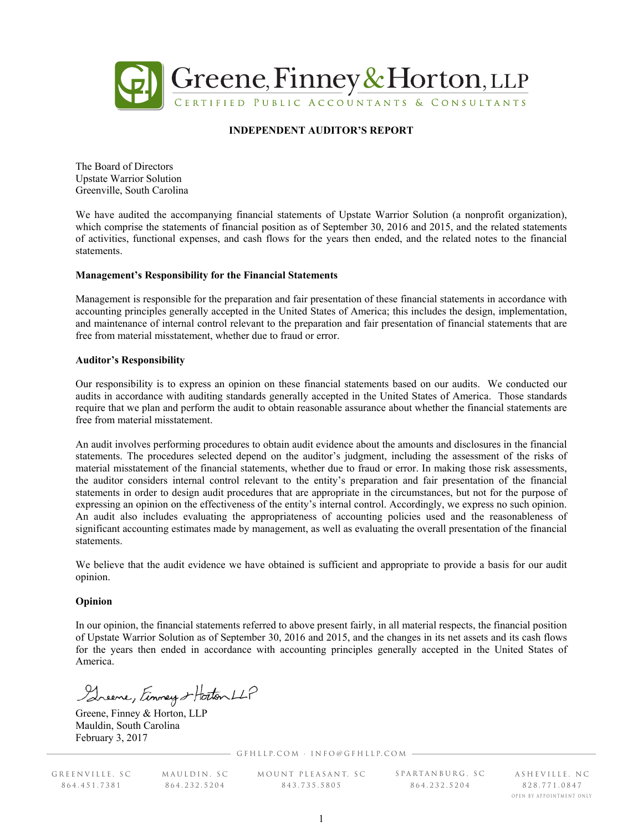

# **INDEPENDENT AUDITOR'S REPORT**

The Board of Directors Upstate Warrior Solution Greenville, South Carolina

We have audited the accompanying financial statements of Upstate Warrior Solution (a nonprofit organization), which comprise the statements of financial position as of September 30, 2016 and 2015, and the related statements of activities, functional expenses, and cash flows for the years then ended, and the related notes to the financial statements.

#### **Management's Responsibility for the Financial Statements**

Management is responsible for the preparation and fair presentation of these financial statements in accordance with accounting principles generally accepted in the United States of America; this includes the design, implementation, and maintenance of internal control relevant to the preparation and fair presentation of financial statements that are free from material misstatement, whether due to fraud or error.

#### **Auditor's Responsibility**

Our responsibility is to express an opinion on these financial statements based on our audits. We conducted our audits in accordance with auditing standards generally accepted in the United States of America. Those standards require that we plan and perform the audit to obtain reasonable assurance about whether the financial statements are free from material misstatement.

An audit involves performing procedures to obtain audit evidence about the amounts and disclosures in the financial statements. The procedures selected depend on the auditor's judgment, including the assessment of the risks of material misstatement of the financial statements, whether due to fraud or error. In making those risk assessments, the auditor considers internal control relevant to the entity's preparation and fair presentation of the financial statements in order to design audit procedures that are appropriate in the circumstances, but not for the purpose of expressing an opinion on the effectiveness of the entity's internal control. Accordingly, we express no such opinion. An audit also includes evaluating the appropriateness of accounting policies used and the reasonableness of significant accounting estimates made by management, as well as evaluating the overall presentation of the financial statements.

We believe that the audit evidence we have obtained is sufficient and appropriate to provide a basis for our audit opinion.

#### **Opinion**

In our opinion, the financial statements referred to above present fairly, in all material respects, the financial position of Upstate Warrior Solution as of September 30, 2016 and 2015, and the changes in its net assets and its cash flows for the years then ended in accordance with accounting principles generally accepted in the United States of America.

Streene, Finney & Hotton LLP

Greene, Finney & Horton, LLP Mauldin, South Carolina February 3, 2017

GFHLLP.COM ∙ INFO@GFHLLP.COM

M A U L D I N , S C 864.232.5204

MOUNT PLEASANT, SC 843.735.5805

S PARTAN BURG, SC 864.232.5204

A S H E V I L L E, N C 828.771.0847 OPEN BY APPOINT MENT ONLY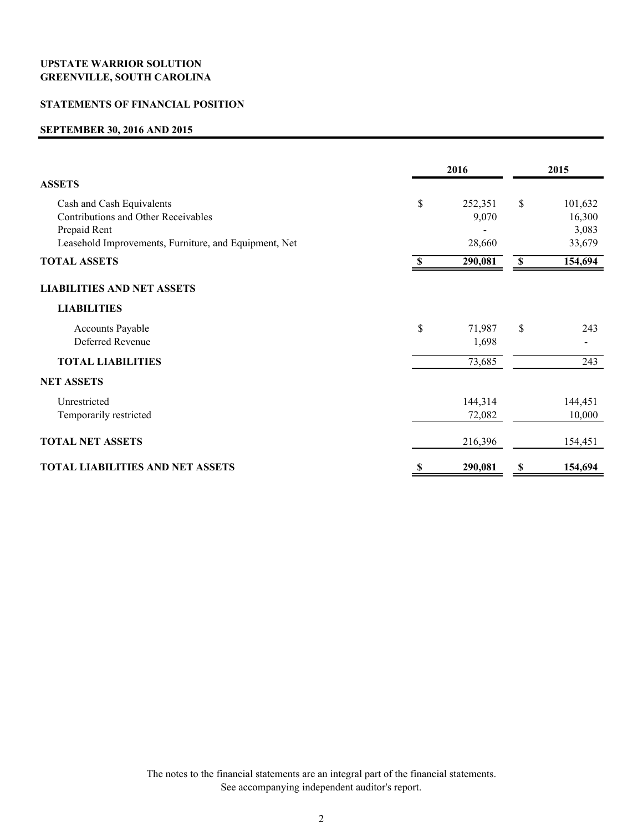# **STATEMENTS OF FINANCIAL POSITION**

#### **SEPTEMBER 30, 2016 AND 2015**

|                                                                       |          | 2016              | 2015                             |
|-----------------------------------------------------------------------|----------|-------------------|----------------------------------|
| <b>ASSETS</b>                                                         |          |                   |                                  |
| Cash and Cash Equivalents<br>Contributions and Other Receivables      | \$       | 252,351<br>9,070  | \$<br>101,632<br>16,300<br>3,083 |
| Prepaid Rent<br>Leasehold Improvements, Furniture, and Equipment, Net |          | 28,660            | 33,679                           |
| <b>TOTAL ASSETS</b>                                                   | <b>S</b> | 290,081           | \$<br>154,694                    |
| <b>LIABILITIES AND NET ASSETS</b>                                     |          |                   |                                  |
| <b>LIABILITIES</b>                                                    |          |                   |                                  |
| <b>Accounts Payable</b><br>Deferred Revenue                           | \$       | 71,987<br>1,698   | \$<br>243                        |
| <b>TOTAL LIABILITIES</b>                                              |          | 73,685            | 243                              |
| <b>NET ASSETS</b>                                                     |          |                   |                                  |
| Unrestricted<br>Temporarily restricted                                |          | 144,314<br>72,082 | 144,451<br>10,000                |
| <b>TOTAL NET ASSETS</b>                                               |          | 216,396           | 154,451                          |
| TOTAL LIABILITIES AND NET ASSETS                                      | S        | 290,081           | \$<br>154,694                    |

The notes to the financial statements are an integral part of the financial statements. See accompanying independent auditor's report.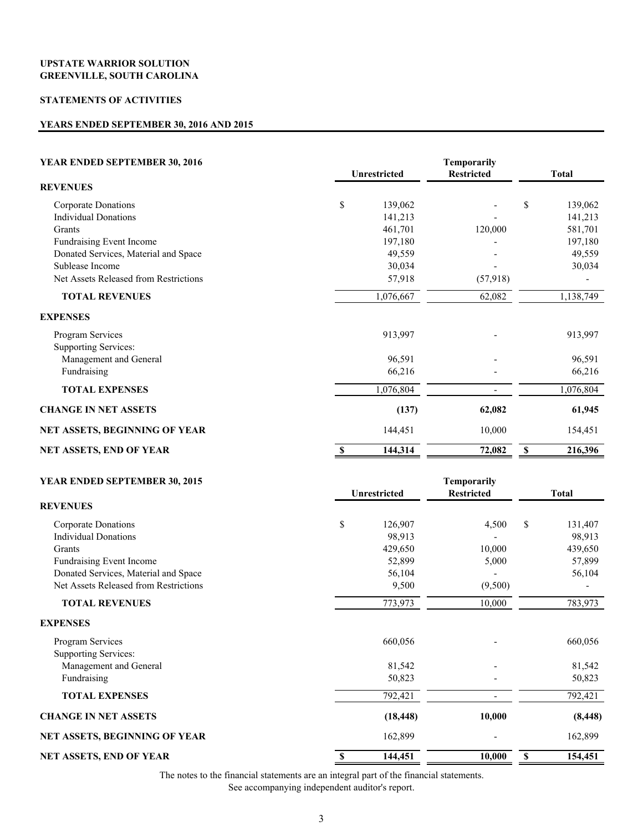# **STATEMENTS OF ACTIVITIES**

# **YEARS ENDED SEPTEMBER 30, 2016 AND 2015**

| YEAR ENDED SEPTEMBER 30, 2016                   | Unrestricted            | <b>Temporarily</b><br><b>Restricted</b> |              | <b>Total</b> |
|-------------------------------------------------|-------------------------|-----------------------------------------|--------------|--------------|
| <b>REVENUES</b>                                 |                         |                                         |              |              |
| Corporate Donations                             | \$<br>139,062           |                                         | \$           | 139,062      |
| <b>Individual Donations</b>                     | 141,213                 |                                         |              | 141,213      |
| Grants                                          | 461,701                 | 120,000                                 |              | 581,701      |
| Fundraising Event Income                        | 197,180                 |                                         |              | 197,180      |
| Donated Services, Material and Space            | 49,559                  |                                         |              | 49,559       |
| Sublease Income                                 | 30,034                  |                                         |              | 30,034       |
| Net Assets Released from Restrictions           | 57,918                  | (57, 918)                               |              |              |
| <b>TOTAL REVENUES</b>                           | 1,076,667               | 62,082                                  |              | 1,138,749    |
| <b>EXPENSES</b>                                 |                         |                                         |              |              |
| Program Services<br><b>Supporting Services:</b> | 913,997                 |                                         |              | 913,997      |
| Management and General                          | 96,591                  |                                         |              | 96,591       |
| Fundraising                                     | 66,216                  |                                         |              | 66,216       |
| <b>TOTAL EXPENSES</b>                           | 1,076,804               |                                         |              | 1,076,804    |
| <b>CHANGE IN NET ASSETS</b>                     | (137)                   | 62,082                                  |              | 61,945       |
| NET ASSETS, BEGINNING OF YEAR                   | 144,451                 | 10,000                                  |              | 154,451      |
| NET ASSETS, END OF YEAR                         | $\mathbf{s}$<br>144,314 | 72,082                                  | $\mathbf{s}$ | 216,396      |
| <b>YEAR ENDED SEPTEMBER 30, 2015</b>            | Unrestricted            | Temporarily<br><b>Restricted</b>        |              | <b>Total</b> |
| <b>REVENUES</b>                                 |                         |                                         |              |              |
| Corporate Donations                             | \$<br>126,907           | 4,500                                   | \$           | 131,407      |
| <b>Individual Donations</b>                     | 98,913                  |                                         |              | 98,913       |
| Grants                                          | 429,650                 | 10,000                                  |              | 439,650      |
| Fundraising Event Income                        | 52,899                  | 5,000                                   |              | 57,899       |
| Donated Services, Material and Space            | 56,104                  |                                         |              | 56,104       |
| Net Assets Released from Restrictions           | 9,500                   | (9,500)                                 |              |              |
| <b>TOTAL REVENUES</b>                           | 773,973                 | 10,000                                  |              | 783,973      |
| <b>EXPENSES</b>                                 |                         |                                         |              |              |
| Program Services                                | 660,056                 |                                         |              | 660,056      |
| <b>Supporting Services:</b>                     |                         |                                         |              |              |
| Management and General                          | 81,542                  |                                         |              | 81,542       |
| Eundreinen <sub>o</sub>                         | 50.823                  |                                         |              | 50.823       |

| Fundraising                   | 50.823    |        | 50,823   |
|-------------------------------|-----------|--------|----------|
| <b>TOTAL EXPENSES</b>         | 792.421   |        | 792,421  |
| <b>CHANGE IN NET ASSETS</b>   | (18, 448) | 10.000 | (8, 448) |
| NET ASSETS, BEGINNING OF YEAR | 162,899   |        | 162,899  |
| NET ASSETS, END OF YEAR       | 144,451   | 10.000 | 154.451  |

The notes to the financial statements are an integral part of the financial statements.

See accompanying independent auditor's report.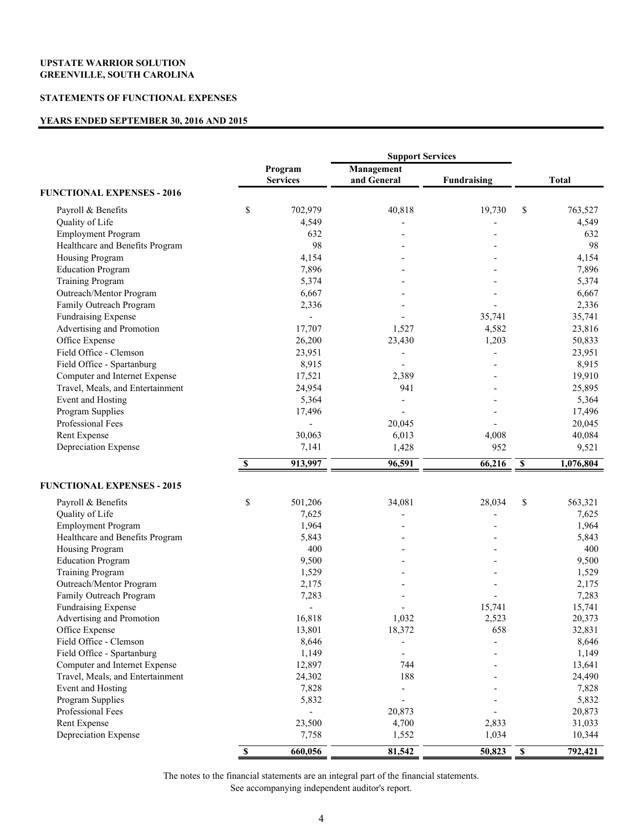#### **STATEMENTS OF FUNCTIONAL EXPENSES**

# **YEARS ENDED SEPTEMBER 30, 2016 AND 2015**

|                                   | <b>Support Services</b> |                          |                          |             |                    |              |
|-----------------------------------|-------------------------|--------------------------|--------------------------|-------------|--------------------|--------------|
|                                   | Program                 |                          | Management               |             |                    |              |
|                                   |                         | <b>Services</b>          | and General              | Fundraising |                    | <b>Total</b> |
| <b>FUNCTIONAL EXPENSES - 2016</b> |                         |                          |                          |             |                    |              |
| Payroll & Benefits                | \$                      | 702,979                  | 40,818                   | 19,730      | \$                 | 763,527      |
| Quality of Life                   |                         | 4,549                    |                          |             |                    | 4,549        |
| <b>Employment Program</b>         |                         | 632                      |                          |             |                    | 632          |
| Healthcare and Benefits Program   |                         | 98                       |                          |             |                    | 98           |
| Housing Program                   |                         | 4,154                    |                          |             |                    | 4,154        |
| <b>Education Program</b>          |                         | 7,896                    |                          |             |                    | 7,896        |
| <b>Training Program</b>           |                         | 5,374                    |                          |             |                    | 5,374        |
| Outreach/Mentor Program           |                         | 6,667                    |                          |             |                    | 6,667        |
| Family Outreach Program           |                         | 2,336                    |                          |             |                    | 2,336        |
|                                   |                         |                          |                          |             |                    |              |
| <b>Fundraising Expense</b>        |                         | $\overline{\phantom{0}}$ |                          | 35,741      |                    | 35,741       |
| Advertising and Promotion         |                         | 17,707                   | 1,527                    | 4,582       |                    | 23,816       |
| Office Expense                    |                         | 26,200                   | 23,430                   | 1,203       |                    | 50,833       |
| Field Office - Clemson            |                         | 23,951                   | $\overline{a}$           |             |                    | 23,951       |
| Field Office - Spartanburg        |                         | 8,915                    |                          |             |                    | 8,915        |
| Computer and Internet Expense     |                         | 17,521                   | 2,389                    |             |                    | 19,910       |
| Travel, Meals, and Entertainment  |                         | 24,954                   | 941                      |             |                    | 25,895       |
| Event and Hosting                 |                         | 5,364                    |                          |             |                    | 5,364        |
| Program Supplies                  |                         | 17,496                   | L,                       |             |                    | 17,496       |
| Professional Fees                 |                         |                          | 20,045                   |             |                    | 20,045       |
| Rent Expense                      |                         | 30,063                   | 6,013                    | 4,008       |                    | 40,084       |
| Depreciation Expense              |                         | 7,141                    | 1,428                    | 952         |                    | 9,521        |
|                                   | $\overline{\mathbf{s}}$ | 913,997                  | 96,591                   | 66,216      | \$                 | 1,076,804    |
| <b>FUNCTIONAL EXPENSES - 2015</b> |                         |                          |                          |             |                    |              |
| Payroll & Benefits                | \$                      | 501,206                  | 34,081                   | 28,034      | \$                 | 563,321      |
| Quality of Life                   |                         | 7,625                    |                          |             |                    | 7,625        |
| <b>Employment Program</b>         |                         | 1,964                    |                          |             |                    | 1,964        |
| Healthcare and Benefits Program   |                         | 5,843                    |                          |             |                    | 5,843        |
| Housing Program                   |                         | 400                      |                          |             |                    | 400          |
| <b>Education Program</b>          |                         | 9,500                    |                          |             |                    | 9,500        |
| <b>Training Program</b>           |                         | 1,529                    |                          |             |                    | 1,529        |
| Outreach/Mentor Program           |                         | 2,175                    |                          |             |                    | 2,175        |
| Family Outreach Program           |                         | 7,283                    |                          |             |                    | 7,283        |
| <b>Fundraising Expense</b>        |                         |                          |                          | 15,741      |                    | 15,741       |
| Advertising and Promotion         |                         | 16,818                   | 1,032                    | 2,523       |                    | 20,373       |
| Office Expense                    |                         | 13,801                   | 18,372                   | 658         |                    | 32,831       |
| Field Office - Clemson            |                         | 8,646                    |                          |             |                    |              |
|                                   |                         | 1,149                    |                          |             |                    | 8,646        |
| Field Office - Spartanburg        |                         |                          | 744                      |             |                    | 1,149        |
| Computer and Internet Expense     |                         | 12,897                   |                          |             |                    | 13,641       |
| Travel, Meals, and Entertainment  |                         | 24,302                   | 188                      |             |                    | 24,490       |
| Event and Hosting                 |                         | 7,828                    | $\overline{\phantom{0}}$ |             |                    | 7,828        |
| Program Supplies                  |                         | 5,832                    |                          |             |                    | 5,832        |
| Professional Fees                 |                         |                          | 20,873                   |             |                    | 20,873       |
| Rent Expense                      |                         | 23,500                   | 4,700                    | 2,833       |                    | 31,033       |
| Depreciation Expense              |                         | 7,758                    | 1,552                    | 1,034       |                    | 10,344       |
|                                   | \$                      | 660,056                  | 81,542                   | 50,823      | $\pmb{\mathbb{S}}$ | 792,421      |

The notes to the financial statements are an integral part of the financial statements. See accompanying independent auditor's report.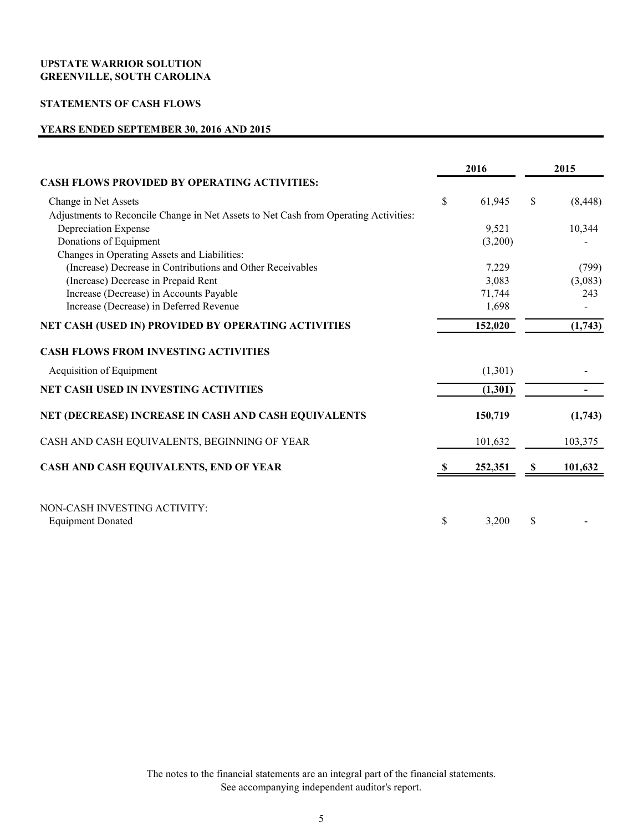# **STATEMENTS OF CASH FLOWS**

# **YEARS ENDED SEPTEMBER 30, 2016 AND 2015**

|                                                                                      |    | 2016    |    | 2015     |  |
|--------------------------------------------------------------------------------------|----|---------|----|----------|--|
| <b>CASH FLOWS PROVIDED BY OPERATING ACTIVITIES:</b>                                  |    |         |    |          |  |
| Change in Net Assets                                                                 | \$ | 61,945  | S  | (8, 448) |  |
| Adjustments to Reconcile Change in Net Assets to Net Cash from Operating Activities: |    |         |    |          |  |
| Depreciation Expense                                                                 |    | 9,521   |    | 10,344   |  |
| Donations of Equipment                                                               |    | (3,200) |    |          |  |
| Changes in Operating Assets and Liabilities:                                         |    |         |    |          |  |
| (Increase) Decrease in Contributions and Other Receivables                           |    | 7,229   |    | (799)    |  |
| (Increase) Decrease in Prepaid Rent                                                  |    | 3,083   |    | (3,083)  |  |
| Increase (Decrease) in Accounts Payable                                              |    | 71,744  |    | 243      |  |
| Increase (Decrease) in Deferred Revenue                                              |    | 1,698   |    |          |  |
| NET CASH (USED IN) PROVIDED BY OPERATING ACTIVITIES                                  |    | 152,020 |    | (1,743)  |  |
| <b>CASH FLOWS FROM INVESTING ACTIVITIES</b>                                          |    |         |    |          |  |
| Acquisition of Equipment                                                             |    | (1,301) |    |          |  |
| NET CASH USED IN INVESTING ACTIVITIES                                                |    | (1,301) |    |          |  |
| NET (DECREASE) INCREASE IN CASH AND CASH EQUIVALENTS                                 |    | 150,719 |    | (1,743)  |  |
| CASH AND CASH EQUIVALENTS, BEGINNING OF YEAR                                         |    | 101,632 |    | 103,375  |  |
| CASH AND CASH EQUIVALENTS, END OF YEAR                                               |    | 252,351 | S  | 101,632  |  |
| NON-CASH INVESTING ACTIVITY:<br><b>Equipment Donated</b>                             | \$ | 3,200   | \$ |          |  |

The notes to the financial statements are an integral part of the financial statements. See accompanying independent auditor's report.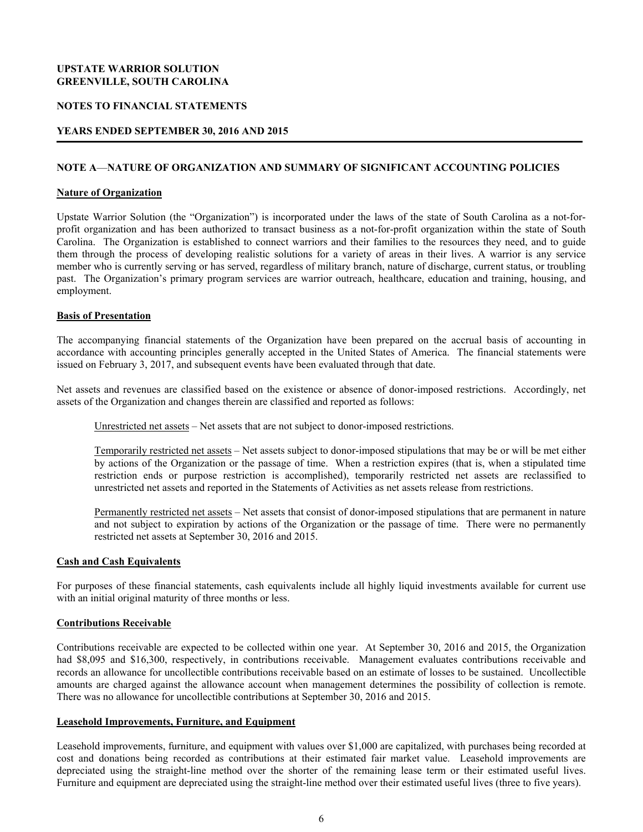#### **NOTES TO FINANCIAL STATEMENTS**

#### **YEARS ENDED SEPTEMBER 30, 2016 AND 2015**

#### **NOTE A**—**NATURE OF ORGANIZATION AND SUMMARY OF SIGNIFICANT ACCOUNTING POLICIES**

֖֚֚֚֬

#### **Nature of Organization**

Upstate Warrior Solution (the "Organization") is incorporated under the laws of the state of South Carolina as a not-forprofit organization and has been authorized to transact business as a not-for-profit organization within the state of South Carolina. The Organization is established to connect warriors and their families to the resources they need, and to guide them through the process of developing realistic solutions for a variety of areas in their lives. A warrior is any service member who is currently serving or has served, regardless of military branch, nature of discharge, current status, or troubling past. The Organization's primary program services are warrior outreach, healthcare, education and training, housing, and employment.

#### **Basis of Presentation**

The accompanying financial statements of the Organization have been prepared on the accrual basis of accounting in accordance with accounting principles generally accepted in the United States of America. The financial statements were issued on February 3, 2017, and subsequent events have been evaluated through that date.

Net assets and revenues are classified based on the existence or absence of donor-imposed restrictions. Accordingly, net assets of the Organization and changes therein are classified and reported as follows:

Unrestricted net assets – Net assets that are not subject to donor-imposed restrictions.

Temporarily restricted net assets – Net assets subject to donor-imposed stipulations that may be or will be met either by actions of the Organization or the passage of time. When a restriction expires (that is, when a stipulated time restriction ends or purpose restriction is accomplished), temporarily restricted net assets are reclassified to unrestricted net assets and reported in the Statements of Activities as net assets release from restrictions.

Permanently restricted net assets – Net assets that consist of donor-imposed stipulations that are permanent in nature and not subject to expiration by actions of the Organization or the passage of time. There were no permanently restricted net assets at September 30, 2016 and 2015.

#### **Cash and Cash Equivalents**

For purposes of these financial statements, cash equivalents include all highly liquid investments available for current use with an initial original maturity of three months or less.

#### **Contributions Receivable**

Contributions receivable are expected to be collected within one year. At September 30, 2016 and 2015, the Organization had \$8,095 and \$16,300, respectively, in contributions receivable. Management evaluates contributions receivable and records an allowance for uncollectible contributions receivable based on an estimate of losses to be sustained. Uncollectible amounts are charged against the allowance account when management determines the possibility of collection is remote. There was no allowance for uncollectible contributions at September 30, 2016 and 2015.

#### **Leasehold Improvements, Furniture, and Equipment**

Leasehold improvements, furniture, and equipment with values over \$1,000 are capitalized, with purchases being recorded at cost and donations being recorded as contributions at their estimated fair market value. Leasehold improvements are depreciated using the straight-line method over the shorter of the remaining lease term or their estimated useful lives. Furniture and equipment are depreciated using the straight-line method over their estimated useful lives (three to five years).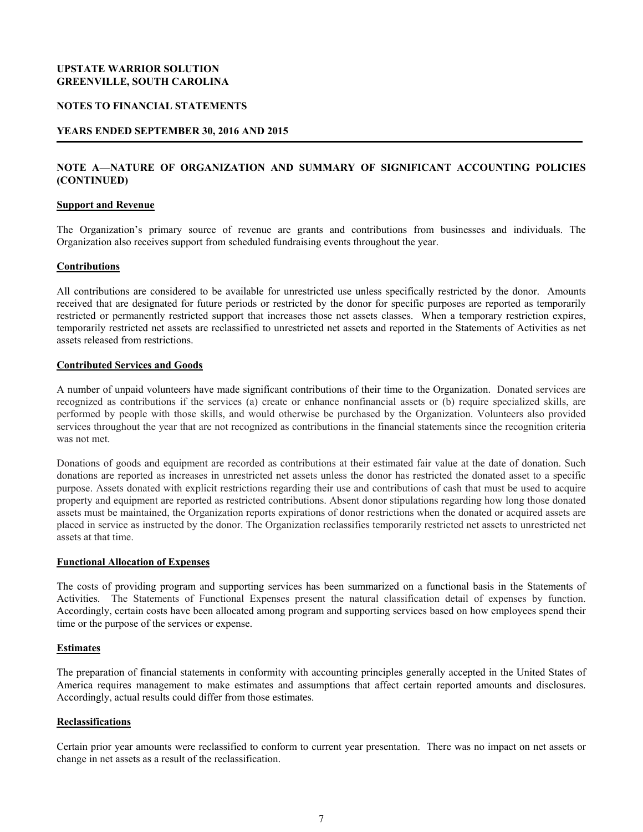#### **NOTES TO FINANCIAL STATEMENTS**

#### **YEARS ENDED SEPTEMBER 30, 2016 AND 2015**

# **NOTE A**—**NATURE OF ORGANIZATION AND SUMMARY OF SIGNIFICANT ACCOUNTING POLICIES (CONTINUED)**

֖֚֚֚֬

#### **Support and Revenue**

The Organization's primary source of revenue are grants and contributions from businesses and individuals. The Organization also receives support from scheduled fundraising events throughout the year.

#### **Contributions**

All contributions are considered to be available for unrestricted use unless specifically restricted by the donor. Amounts received that are designated for future periods or restricted by the donor for specific purposes are reported as temporarily restricted or permanently restricted support that increases those net assets classes. When a temporary restriction expires, temporarily restricted net assets are reclassified to unrestricted net assets and reported in the Statements of Activities as net assets released from restrictions.

#### **Contributed Services and Goods**

A number of unpaid volunteers have made significant contributions of their time to the Organization. Donated services are recognized as contributions if the services (a) create or enhance nonfinancial assets or (b) require specialized skills, are performed by people with those skills, and would otherwise be purchased by the Organization. Volunteers also provided services throughout the year that are not recognized as contributions in the financial statements since the recognition criteria was not met.

Donations of goods and equipment are recorded as contributions at their estimated fair value at the date of donation. Such donations are reported as increases in unrestricted net assets unless the donor has restricted the donated asset to a specific purpose. Assets donated with explicit restrictions regarding their use and contributions of cash that must be used to acquire property and equipment are reported as restricted contributions. Absent donor stipulations regarding how long those donated assets must be maintained, the Organization reports expirations of donor restrictions when the donated or acquired assets are placed in service as instructed by the donor. The Organization reclassifies temporarily restricted net assets to unrestricted net assets at that time.

#### **Functional Allocation of Expenses**

The costs of providing program and supporting services has been summarized on a functional basis in the Statements of Activities. The Statements of Functional Expenses present the natural classification detail of expenses by function. Accordingly, certain costs have been allocated among program and supporting services based on how employees spend their time or the purpose of the services or expense.

#### **Estimates**

The preparation of financial statements in conformity with accounting principles generally accepted in the United States of America requires management to make estimates and assumptions that affect certain reported amounts and disclosures. Accordingly, actual results could differ from those estimates.

#### **Reclassifications**

Certain prior year amounts were reclassified to conform to current year presentation. There was no impact on net assets or change in net assets as a result of the reclassification.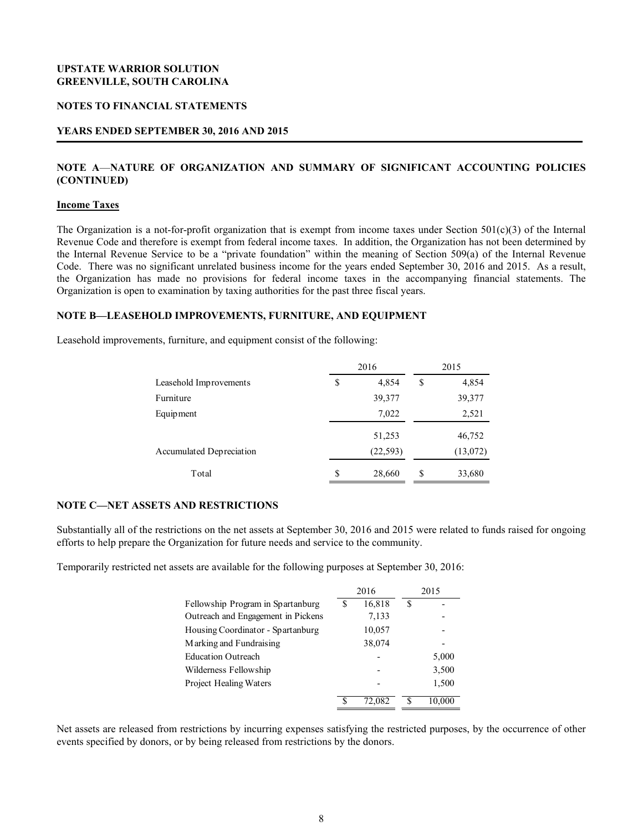#### **NOTES TO FINANCIAL STATEMENTS**

#### **YEARS ENDED SEPTEMBER 30, 2016 AND 2015**

# **NOTE A**—**NATURE OF ORGANIZATION AND SUMMARY OF SIGNIFICANT ACCOUNTING POLICIES (CONTINUED)**

֖֚֚֚֬

#### **Income Taxes**

The Organization is a not-for-profit organization that is exempt from income taxes under Section  $501(c)(3)$  of the Internal Revenue Code and therefore is exempt from federal income taxes. In addition, the Organization has not been determined by the Internal Revenue Service to be a "private foundation" within the meaning of Section 509(a) of the Internal Revenue Code. There was no significant unrelated business income for the years ended September 30, 2016 and 2015. As a result, the Organization has made no provisions for federal income taxes in the accompanying financial statements. The Organization is open to examination by taxing authorities for the past three fiscal years.

#### **NOTE B—LEASEHOLD IMPROVEMENTS, FURNITURE, AND EQUIPMENT**

Leasehold improvements, furniture, and equipment consist of the following:

|                          | 2016 |           | 2015 |          |
|--------------------------|------|-----------|------|----------|
| Leasehold Improvements   | \$   | 4,854     | \$   | 4,854    |
| Furniture                |      | 39,377    |      | 39,377   |
| Equip ment               |      | 7,022     |      | 2,521    |
|                          |      | 51,253    |      | 46,752   |
| Accumulated Depreciation |      | (22, 593) |      | (13,072) |
| Total                    | \$   | 28,660    | S    | 33,680   |

### **NOTE C—NET ASSETS AND RESTRICTIONS**

Substantially all of the restrictions on the net assets at September 30, 2016 and 2015 were related to funds raised for ongoing efforts to help prepare the Organization for future needs and service to the community.

Temporarily restricted net assets are available for the following purposes at September 30, 2016:

|                                    | 2016 |        |   | 2015   |
|------------------------------------|------|--------|---|--------|
| Fellowship Program in Spartanburg  |      | 16,818 | S |        |
| Outreach and Engagement in Pickens |      | 7,133  |   |        |
| Housing Coordinator - Spartanburg  |      | 10,057 |   |        |
| Marking and Fundraising            |      | 38,074 |   |        |
| <b>Education Outreach</b>          |      |        |   | 5,000  |
| Wilderness Fellowship              |      |        |   | 3,500  |
| Project Healing Waters             |      |        |   | 1,500  |
|                                    |      | 72.082 |   | 10,000 |

Net assets are released from restrictions by incurring expenses satisfying the restricted purposes, by the occurrence of other events specified by donors, or by being released from restrictions by the donors.